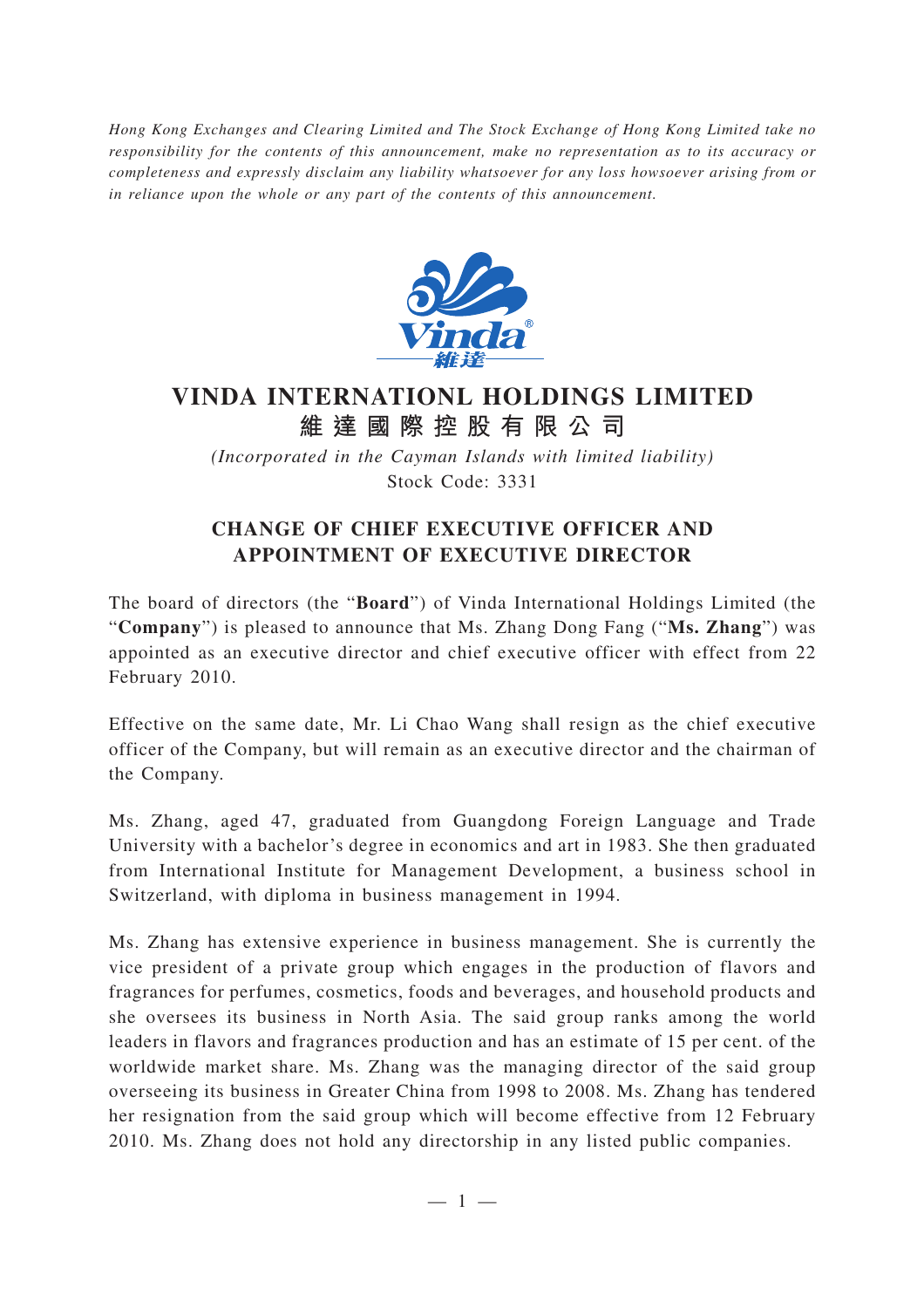*Hong Kong Exchanges and Clearing Limited and The Stock Exchange of Hong Kong Limited take no responsibility for the contents of this announcement, make no representation as to its accuracy or completeness and expressly disclaim any liability whatsoever for any loss howsoever arising from or in reliance upon the whole or any part of the contents of this announcement.*



## **VINDA INTERNATIONL HOLDINGS LIMITED 維達國際控股有限公司**

*(Incorporated in the Cayman Islands with limited liability)* Stock Code: 3331

## **CHANGE OF CHIEF EXECUTIVE OFFICER AND APPOINTMENT OF EXECUTIVE DIRECTOR**

The board of directors (the "**Board**") of Vinda International Holdings Limited (the "**Company**") is pleased to announce that Ms. Zhang Dong Fang ("**Ms. Zhang**") was appointed as an executive director and chief executive officer with effect from 22 February 2010.

Effective on the same date, Mr. Li Chao Wang shall resign as the chief executive officer of the Company, but will remain as an executive director and the chairman of the Company.

Ms. Zhang, aged 47, graduated from Guangdong Foreign Language and Trade University with a bachelor 's degree in economics and art in 1983. She then graduated from International Institute for Management Development, a business school in Switzerland, with diploma in business management in 1994.

Ms. Zhang has extensive experience in business management. She is currently the vice president of a private group which engages in the production of flavors and fragrances for perfumes, cosmetics, foods and beverages, and household products and she oversees its business in North Asia. The said group ranks among the world leaders in flavors and fragrances production and has an estimate of 15 per cent. of the worldwide market share. Ms. Zhang was the managing director of the said group overseeing its business in Greater China from 1998 to 2008. Ms. Zhang has tendered her resignation from the said group which will become effective from 12 February 2010. Ms. Zhang does not hold any directorship in any listed public companies.